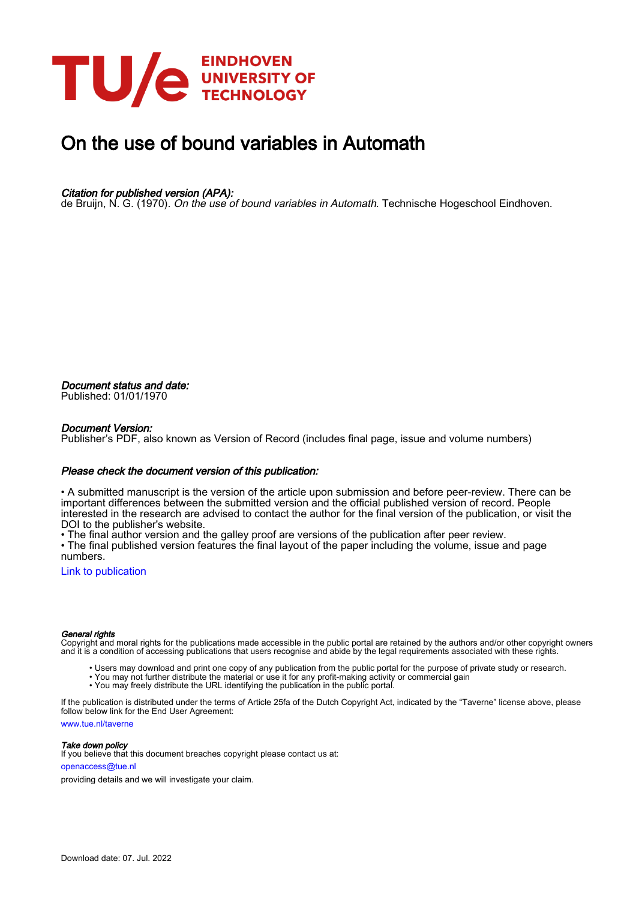

# On the use of bound variables in Automath

## Citation for published version (APA):

de Bruijn, N. G. (1970). On the use of bound variables in Automath. Technische Hogeschool Eindhoven.

Document status and date: Published: 01/01/1970

#### Document Version:

Publisher's PDF, also known as Version of Record (includes final page, issue and volume numbers)

#### Please check the document version of this publication:

• A submitted manuscript is the version of the article upon submission and before peer-review. There can be important differences between the submitted version and the official published version of record. People interested in the research are advised to contact the author for the final version of the publication, or visit the DOI to the publisher's website.

• The final author version and the galley proof are versions of the publication after peer review.

• The final published version features the final layout of the paper including the volume, issue and page numbers.

[Link to publication](https://research.tue.nl/en/publications/5520da87-1594-4242-b8fd-9e9952eae83f)

#### General rights

Copyright and moral rights for the publications made accessible in the public portal are retained by the authors and/or other copyright owners and it is a condition of accessing publications that users recognise and abide by the legal requirements associated with these rights.

- Users may download and print one copy of any publication from the public portal for the purpose of private study or research.
- You may not further distribute the material or use it for any profit-making activity or commercial gain
- You may freely distribute the URL identifying the publication in the public portal.

If the publication is distributed under the terms of Article 25fa of the Dutch Copyright Act, indicated by the "Taverne" license above, please follow below link for the End User Agreement:

www.tue.nl/taverne

**Take down policy**<br>If you believe that this document breaches copyright please contact us at:

openaccess@tue.nl

providing details and we will investigate your claim.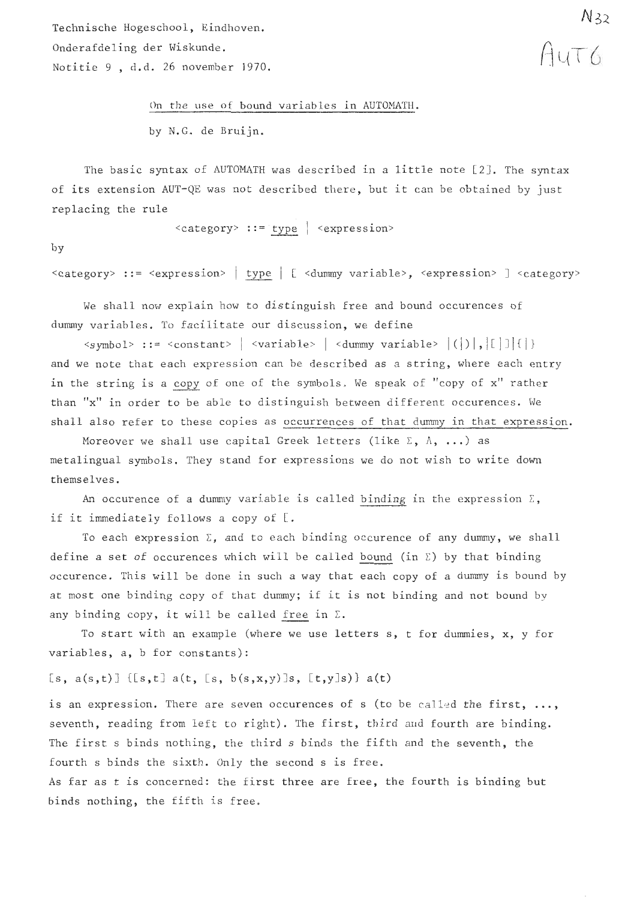Technische Hogeschool, Eindhoven. Onderafdeling der Wiskunde. Notitie 9 , d.d. 26 november 1970.

> On the use of bound variables in AUTOMATH. by N.G. de Bruijn.

The basic syntax of AUTOMATH was described in a little note [21. The syntax of its extension AUT-QE was not described there, but it can be obtained by just replacing the rule

 $\langle category \rangle$  ::= type  $|$   $\langle expression \rangle$ 

by

<category> ::= <expression> | type | [ <dummy variable>, <expression> ] <category>

We shall now explain how to distinguish free and bound occurences of dummy variables, To facilitate our discussion, we define

 $\langle$ symbol> ::=  $\langle$ constant> |  $\langle$ variable> |  $\langle$ dummy variable>  $|$  $(|)$ , $|$ [ $|$ ] $|$  $|$ ] and we note that each expression can be described as a string, where each entry in the string is a copy of one of the symbols. We speak of "copy of x" rather than "x" in order to be able to distinguish between different occurences. We shall also refer to these copies as occurrences of that dummy in that expression.

Moreover we shall use capital Greek letters (like  $\Sigma$ ,  $\Lambda$ , ...) as metalingual symbols. They stand for expressions we do not wish to write down themselves.

An occurence of a dummy variable is called binding in the expression  $\Sigma$ , if it immediately follows a copy of [.

To each expression  $\Sigma$ , and to each binding occurence of any dummy, we shall define a set of occurences which will be called bound (in  $\Sigma$ ) by that binding occurence. This will be done in such a way that each copy of a dummy is bound by at most one binding copy of that dummy; if it is not binding and not bound by The each expression  $\lambda$ , and to each binding<br>lefine a set of occurences which will be calle-<br>occurence. This will be done in such a way that<br>nt most one binding copy of that dummy; if it<br>iny binding copy, it will be call

To start with an example (where we use letters s, t for dummies, x, y for variables, a, b for constants):

[s,  $a(s,t)$ ] {[s,t]  $a(t, [s, b(s,x,y)]s, [t,y]s)$ }  $a(t)$ 

is an expression. There are seven occurences of s (to be called the first, ..., seventh, reading from left to right). The first, third and fourth are binding. The first s binds nothing, the third s binds the fifth and the seventh, the fourth s binds the sixth. Only the second s is free.

As far as t is concerned: the first three are free, the fourth is binding but binds nothing, the fifth is free.

AUTO